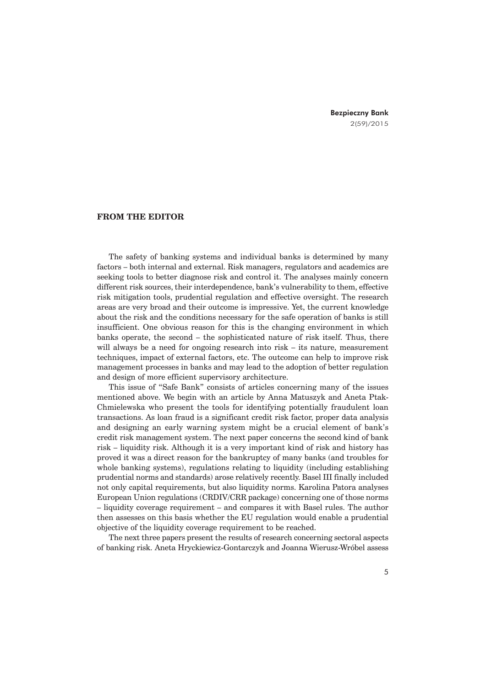Bezpieczny Bank 2(59)/2015

## **FROM THE EDITOR**

The safety of banking systems and individual banks is determined by many factors – both internal and external. Risk managers, regulators and academics are seeking tools to better diagnose risk and control it. The analyses mainly concern different risk sources, their interdependence, bank's vulnerability to them, effective risk mitigation tools, prudential regulation and effective oversight. The research areas are very broad and their outcome is impressive. Yet, the current knowledge about the risk and the conditions necessary for the safe operation of banks is still insufficient. One obvious reason for this is the changing environment in which banks operate, the second – the sophisticated nature of risk itself. Thus, there will always be a need for ongoing research into risk – its nature, measurement techniques, impact of external factors, etc. The outcome can help to improve risk management processes in banks and may lead to the adoption of better regulation and design of more efficient supervisory architecture.

This issue of "Safe Bank" consists of articles concerning many of the issues mentioned above. We begin with an article by Anna Matuszyk and Aneta Ptak-Chmielewska who present the tools for identifying potentially fraudulent loan transactions. As loan fraud is a significant credit risk factor, proper data analysis and designing an early warning system might be a crucial element of bank's credit risk management system. The next paper concerns the second kind of bank risk – liquidity risk. Although it is a very important kind of risk and history has proved it was a direct reason for the bankruptcy of many banks (and troubles for whole banking systems), regulations relating to liquidity (including establishing prudential norms and standards) arose relatively recently. Basel III finally included not only capital requirements, but also liquidity norms. Karolina Patora analyses European Union regulations (CRDIV/CRR package) concerning one of those norms – liquidity coverage requirement – and compares it with Basel rules. The author then assesses on this basis whether the EU regulation would enable a prudential objective of the liquidity coverage requirement to be reached.

The next three papers present the results of research concerning sectoral aspects of banking risk. Aneta Hryckiewicz-Gontarczyk and Joanna Wierusz-Wróbel assess